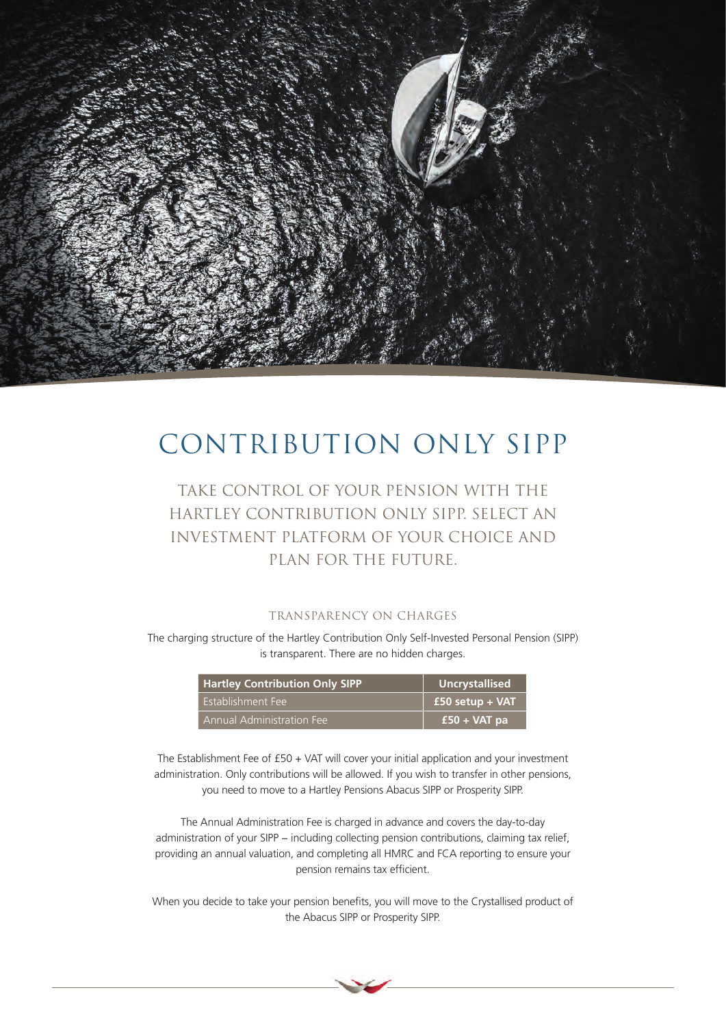

# CONTRIBUTION ONLY SIPP

## Take control of your pension with the Hartley Contribution Only SIPP. Select an investment platform of your choice and plan for the future.

### TRANSPARENCY ON CHARGES

The charging structure of the Hartley Contribution Only Self-Invested Personal Pension (SIPP) is transparent. There are no hidden charges.

| <b>Hartley Contribution Only SIPP</b> | <b>Uncrystallised</b> |
|---------------------------------------|-----------------------|
| Establishment Fee                     | $£50 setup + VAT$     |
| Annual Administration Fee             | $£50 + VAT$ pa        |

The Establishment Fee of £50 + VAT will cover your initial application and your investment administration. Only contributions will be allowed. If you wish to transfer in other pensions, you need to move to a Hartley Pensions Abacus SIPP or Prosperity SIPP.

The Annual Administration Fee is charged in advance and covers the day-to-day administration of your SIPP – including collecting pension contributions, claiming tax relief, providing an annual valuation, and completing all HMRC and FCA reporting to ensure your pension remains tax efficient.

When you decide to take your pension benefits, you will move to the Crystallised product of the Abacus SIPP or Prosperity SIPP.